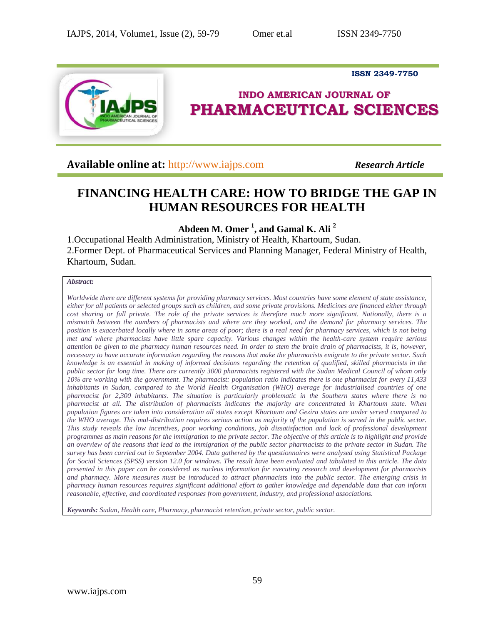**ISSN 2349-7750**



# **INDO AMERICAN JOURNAL OF PHARMACEUTICAL SCIENCES**

**Available online at:** [http://www.iajps.com](http://www.iajps.com/) *Research Article*

# **FINANCING HEALTH CARE: HOW TO BRIDGE THE GAP IN HUMAN RESOURCES FOR HEALTH**

**Abdeen M. Omer <sup>1</sup> , and Gamal K. Ali <sup>2</sup>**

1.Occupational Health Administration, Ministry of Health, Khartoum, Sudan. 2.Former Dept. of Pharmaceutical Services and Planning Manager, Federal Ministry of Health, Khartoum, Sudan.

# *Abstract:*

*Worldwide there are different systems for providing pharmacy services. Most countries have some element of state assistance, either for all patients or selected groups such as children, and some private provisions. Medicines are financed either through cost sharing or full private. The role of the private services is therefore much more significant. Nationally, there is a mismatch between the numbers of pharmacists and where are they worked, and the demand for pharmacy services. The position is exacerbated locally where in some areas of poor; there is a real need for pharmacy services, which is not being met and where pharmacists have little spare capacity. Various changes within the health-care system require serious attention be given to the pharmacy human resources need. In order to stem the brain drain of pharmacists, it is, however, necessary to have accurate information regarding the reasons that make the pharmacists emigrate to the private sector. Such knowledge is an essential in making of informed decisions regarding the retention of qualified, skilled pharmacists in the public sector for long time. There are currently 3000 pharmacists registered with the Sudan Medical Council of whom only 10% are working with the government. The pharmacist: population ratio indicates there is one pharmacist for every 11,433 inhabitants in Sudan, compared to the World Health Organisation (WHO) average for industrialised countries of one pharmacist for 2,300 inhabitants. The situation is particularly problematic in the Southern states where there is no pharmacist at all. The distribution of pharmacists indicates the majority are concentrated in Khartoum state. When population figures are taken into consideration all states except Khartoum and Gezira states are under served compared to the WHO average. This mal-distribution requires serious action as majority of the population is served in the public sector. This study reveals the low incentives, poor working conditions, job dissatisfaction and lack of professional development programmes as main reasons for the immigration to the private sector. The objective of this article is to highlight and provide an overview of the reasons that lead to the immigration of the public sector pharmacists to the private sector in Sudan. The survey has been carried out in September 2004. Data gathered by the questionnaires were analysed using Statistical Package for Social Sciences (SPSS) version 12.0 for windows. The result have been evaluated and tabulated in this article. The data presented in this paper can be considered as nucleus information for executing research and development for pharmacists and pharmacy. More measures must be introduced to attract pharmacists into the public sector. The emerging crisis in pharmacy human resources requires significant additional effort to gather knowledge and dependable data that can inform reasonable, effective, and coordinated responses from government, industry, and professional associations.* 

*Keywords: Sudan, Health care, Pharmacy, pharmacist retention, private sector, public sector.*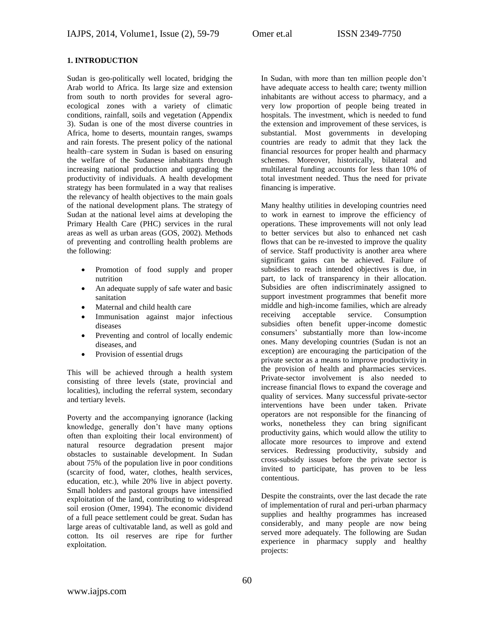# **1. INTRODUCTION**

Sudan is geo-politically well located, bridging the Arab world to Africa. Its large size and extension from south to north provides for several agroecological zones with a variety of climatic conditions, rainfall, soils and vegetation (Appendix 3). Sudan is one of the most diverse countries in Africa, home to deserts, mountain ranges, swamps and rain forests. The present policy of the national health–care system in Sudan is based on ensuring the welfare of the Sudanese inhabitants through increasing national production and upgrading the productivity of individuals. A health development strategy has been formulated in a way that realises the relevancy of health objectives to the main goals of the national development plans. The strategy of Sudan at the national level aims at developing the Primary Health Care (PHC) services in the rural areas as well as urban areas (GOS, 2002). Methods of preventing and controlling health problems are the following:

- Promotion of food supply and proper nutrition
- An adequate supply of safe water and basic sanitation
- Maternal and child health care
- Immunisation against major infectious diseases
- Preventing and control of locally endemic diseases, and
- Provision of essential drugs

This will be achieved through a health system consisting of three levels (state, provincial and localities), including the referral system, secondary and tertiary levels.

Poverty and the accompanying ignorance (lacking knowledge, generally don't have many options often than exploiting their local environment) of natural resource degradation present major obstacles to sustainable development. In Sudan about 75% of the population live in poor conditions (scarcity of food, water, clothes, health services, education, etc.), while 20% live in abject poverty. Small holders and pastoral groups have intensified exploitation of the land, contributing to widespread soil erosion (Omer, 1994). The economic dividend of a full peace settlement could be great. Sudan has large areas of cultivatable land, as well as gold and cotton. Its oil reserves are ripe for further exploitation.

In Sudan, with more than ten million people don't have adequate access to health care; twenty million inhabitants are without access to pharmacy, and a very low proportion of people being treated in hospitals. The investment, which is needed to fund the extension and improvement of these services, is substantial. Most governments in developing countries are ready to admit that they lack the financial resources for proper health and pharmacy schemes. Moreover, historically, bilateral and multilateral funding accounts for less than 10% of total investment needed. Thus the need for private financing is imperative.

Many healthy utilities in developing countries need to work in earnest to improve the efficiency of operations. These improvements will not only lead to better services but also to enhanced net cash flows that can be re-invested to improve the quality of service. Staff productivity is another area where significant gains can be achieved. Failure of subsidies to reach intended objectives is due, in part, to lack of transparency in their allocation. Subsidies are often indiscriminately assigned to support investment programmes that benefit more middle and high-income families, which are already receiving acceptable service. Consumption subsidies often benefit upper-income domestic consumers' substantially more than low-income ones. Many developing countries (Sudan is not an exception) are encouraging the participation of the private sector as a means to improve productivity in the provision of health and pharmacies services. Private-sector involvement is also needed to increase financial flows to expand the coverage and quality of services. Many successful private-sector interventions have been under taken. Private operators are not responsible for the financing of works, nonetheless they can bring significant productivity gains, which would allow the utility to allocate more resources to improve and extend services. Redressing productivity, subsidy and cross-subsidy issues before the private sector is invited to participate, has proven to be less contentious.

Despite the constraints, over the last decade the rate of implementation of rural and peri-urban pharmacy supplies and healthy programmes has increased considerably, and many people are now being served more adequately. The following are Sudan experience in pharmacy supply and healthy projects: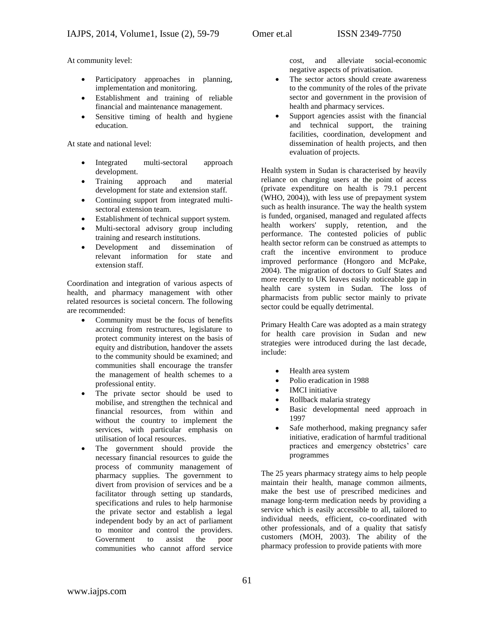At community level:

- Participatory approaches in planning, implementation and monitoring.
- Establishment and training of reliable financial and maintenance management.
- Sensitive timing of health and hygiene education.

At state and national level:

- Integrated multi-sectoral approach development.
- Training approach and material development for state and extension staff.
- Continuing support from integrated multisectoral extension team.
- Establishment of technical support system.
- Multi-sectoral advisory group including training and research institutions.
- Development and dissemination of relevant information for state and extension staff.

Coordination and integration of various aspects of health, and pharmacy management with other related resources is societal concern. The following are recommended:

- Community must be the focus of benefits accruing from restructures, legislature to protect community interest on the basis of equity and distribution, handover the assets to the community should be examined; and communities shall encourage the transfer the management of health schemes to a professional entity.
- The private sector should be used to mobilise, and strengthen the technical and financial resources, from within and without the country to implement the services, with particular emphasis on utilisation of local resources.
- The government should provide the necessary financial resources to guide the process of community management of pharmacy supplies. The government to divert from provision of services and be a facilitator through setting up standards, specifications and rules to help harmonise the private sector and establish a legal independent body by an act of parliament to monitor and control the providers. Government to assist the poor communities who cannot afford service

cost, and alleviate social-economic negative aspects of privatisation.

- The sector actors should create awareness to the community of the roles of the private sector and government in the provision of health and pharmacy services.
- Support agencies assist with the financial and technical support, the training facilities, coordination, development and dissemination of health projects, and then evaluation of projects.

Health system in Sudan is characterised by heavily reliance on charging users at the point of access (private expenditure on health is 79.1 percent (WHO, 2004)), with less use of prepayment system such as health insurance. The way the health system is funded, organised, managed and regulated affects health workers' supply, retention, and the performance. The contested policies of public health sector reform can be construed as attempts to craft the incentive environment to produce improved performance (Hongoro and McPake, 2004). The migration of doctors to Gulf States and more recently to UK leaves easily noticeable gap in health care system in Sudan. The loss of pharmacists from public sector mainly to private sector could be equally detrimental.

Primary Health Care was adopted as a main strategy for health care provision in Sudan and new strategies were introduced during the last decade, include:

- Health area system
- Polio eradication in 1988
- IMCI initiative
- Rollback malaria strategy
- Basic developmental need approach in 1997
- Safe motherhood, making pregnancy safer initiative, eradication of harmful traditional practices and emergency obstetrics' care programmes

The 25 years pharmacy strategy aims to help people maintain their health, manage common ailments, make the best use of prescribed medicines and manage long-term medication needs by providing a service which is easily accessible to all, tailored to individual needs, efficient, co-coordinated with other professionals, and of a quality that satisfy customers (MOH, 2003). The ability of the pharmacy profession to provide patients with more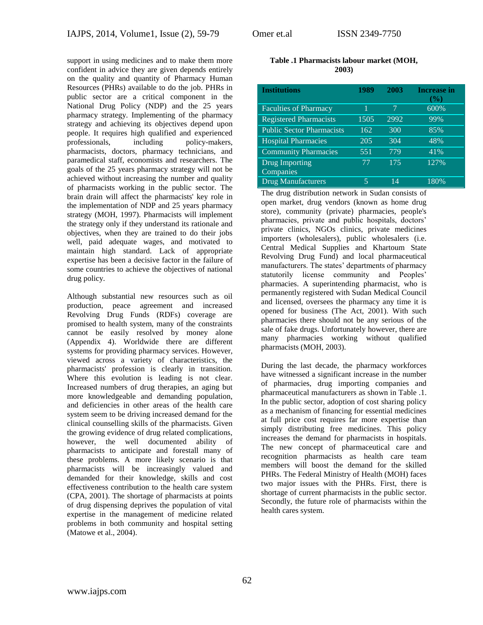support in using medicines and to make them more confident in advice they are given depends entirely on the quality and quantity of Pharmacy Human Resources (PHRs) available to do the job. PHRs in public sector are a critical component in the National Drug Policy (NDP) and the 25 years pharmacy strategy. Implementing of the pharmacy strategy and achieving its objectives depend upon people. It requires high qualified and experienced professionals, including policy-makers, pharmacists, doctors, pharmacy technicians, and paramedical staff, economists and researchers. The goals of the 25 years pharmacy strategy will not be achieved without increasing the number and quality of pharmacists working in the public sector. The brain drain will affect the pharmacists' key role in the implementation of NDP and 25 years pharmacy strategy (MOH, 1997). Pharmacists will implement the strategy only if they understand its rationale and objectives, when they are trained to do their jobs well, paid adequate wages, and motivated to maintain high standard. Lack of appropriate expertise has been a decisive factor in the failure of some countries to achieve the objectives of national drug policy.

Although substantial new resources such as oil production, peace agreement and increased Revolving Drug Funds (RDFs) coverage are promised to health system, many of the constraints cannot be easily resolved by money alone (Appendix 4). Worldwide there are different systems for providing pharmacy services. However, viewed across a variety of characteristics, the pharmacists' profession is clearly in transition. Where this evolution is leading is not clear. Increased numbers of drug therapies, an aging but more knowledgeable and demanding population, and deficiencies in other areas of the health care system seem to be driving increased demand for the clinical counselling skills of the pharmacists. Given the growing evidence of drug related complications, however, the well documented ability of pharmacists to anticipate and forestall many of these problems. A more likely scenario is that pharmacists will be increasingly valued and demanded for their knowledge, skills and cost effectiveness contribution to the health care system (CPA, 2001). The shortage of pharmacists at points of drug dispensing deprives the population of vital expertise in the management of medicine related problems in both community and hospital setting (Matowe et al., 2004).

### **Table .1 Pharmacists labour market (MOH, 2003)**

| <b>Institutions</b>              | 1989 | 2003 | <b>Increase in</b><br>$(\%)$ |
|----------------------------------|------|------|------------------------------|
| <b>Faculties of Pharmacy</b>     |      | 7    | 600%                         |
| <b>Registered Pharmacists</b>    | 1505 | 2992 | 99%                          |
| <b>Public Sector Pharmacists</b> | 162  | 300  | 85%                          |
| <b>Hospital Pharmacies</b>       | 205  | 304  | 48%                          |
| <b>Community Pharmacies</b>      | 551  | 779  | 41%                          |
| Drug Importing<br>Companies      | 77   | 175  | 127%                         |
| <b>Drug Manufacturers</b>        | 5    | 14   | 180%                         |

The drug distribution network in Sudan consists of open market, drug vendors (known as home drug store), community (private) pharmacies, people's pharmacies, private and public hospitals, doctors' private clinics, NGOs clinics, private medicines importers (wholesalers), public wholesalers (i.e. Central Medical Supplies and Khartoum State Revolving Drug Fund) and local pharmaceutical manufacturers. The states' departments of pharmacy statutorily license community and Peoples' pharmacies. A superintending pharmacist, who is permanently registered with Sudan Medical Council and licensed, oversees the pharmacy any time it is opened for business (The Act, 2001). With such pharmacies there should not be any serious of the sale of fake drugs. Unfortunately however, there are many pharmacies working without qualified pharmacists (MOH, 2003).

During the last decade, the pharmacy workforces have witnessed a significant increase in the number of pharmacies, drug importing companies and pharmaceutical manufacturers as shown in Table .1. In the public sector, adoption of cost sharing policy as a mechanism of financing for essential medicines at full price cost requires far more expertise than simply distributing free medicines. This policy increases the demand for pharmacists in hospitals. The new concept of pharmaceutical care and recognition pharmacists as health care team members will boost the demand for the skilled PHRs. The Federal Ministry of Health (MOH) faces two major issues with the PHRs. First, there is shortage of current pharmacists in the public sector. Secondly, the future role of pharmacists within the health cares system.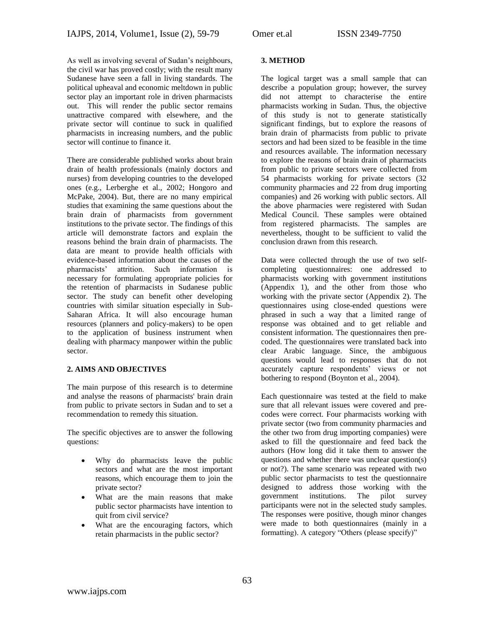As well as involving several of Sudan's neighbours, the civil war has proved costly; with the result many Sudanese have seen a fall in living standards. The political upheaval and economic meltdown in public sector play an important role in driven pharmacists out. This will render the public sector remains unattractive compared with elsewhere, and the private sector will continue to suck in qualified pharmacists in increasing numbers, and the public sector will continue to finance it.

There are considerable published works about brain drain of health professionals (mainly doctors and nurses) from developing countries to the developed ones (e.g., Lerberghe et al., 2002; Hongoro and McPake, 2004). But, there are no many empirical studies that examining the same questions about the brain drain of pharmacists from government institutions to the private sector. The findings of this article will demonstrate factors and explain the reasons behind the brain drain of pharmacists. The data are meant to provide health officials with evidence-based information about the causes of the pharmacists' attrition. Such information is necessary for formulating appropriate policies for the retention of pharmacists in Sudanese public sector. The study can benefit other developing countries with similar situation especially in Sub-Saharan Africa. It will also encourage human resources (planners and policy-makers) to be open to the application of business instrument when dealing with pharmacy manpower within the public sector.

# **2. AIMS AND OBJECTIVES**

The main purpose of this research is to determine and analyse the reasons of pharmacists' brain drain from public to private sectors in Sudan and to set a recommendation to remedy this situation.

The specific objectives are to answer the following questions:

- Why do pharmacists leave the public sectors and what are the most important reasons, which encourage them to join the private sector?
- What are the main reasons that make public sector pharmacists have intention to quit from civil service?
- What are the encouraging factors, which retain pharmacists in the public sector?

# **3. METHOD**

The logical target was a small sample that can describe a population group; however, the survey did not attempt to characterise the entire pharmacists working in Sudan. Thus, the objective of this study is not to generate statistically significant findings, but to explore the reasons of brain drain of pharmacists from public to private sectors and had been sized to be feasible in the time and resources available. The information necessary to explore the reasons of brain drain of pharmacists from public to private sectors were collected from 54 pharmacists working for private sectors (32 community pharmacies and 22 from drug importing companies) and 26 working with public sectors. All the above pharmacies were registered with Sudan Medical Council. These samples were obtained from registered pharmacists. The samples are nevertheless, thought to be sufficient to valid the conclusion drawn from this research.

Data were collected through the use of two selfcompleting questionnaires: one addressed to pharmacists working with government institutions (Appendix 1), and the other from those who working with the private sector (Appendix 2). The questionnaires using close-ended questions were phrased in such a way that a limited range of response was obtained and to get reliable and consistent information. The questionnaires then precoded. The questionnaires were translated back into clear Arabic language. Since, the ambiguous questions would lead to responses that do not accurately capture respondents' views or not bothering to respond (Boynton et al., 2004).

Each questionnaire was tested at the field to make sure that all relevant issues were covered and precodes were correct. Four pharmacists working with private sector (two from community pharmacies and the other two from drug importing companies) were asked to fill the questionnaire and feed back the authors (How long did it take them to answer the questions and whether there was unclear question(s) or not?). The same scenario was repeated with two public sector pharmacists to test the questionnaire designed to address those working with the government institutions. The pilot survey participants were not in the selected study samples. The responses were positive, though minor changes were made to both questionnaires (mainly in a formatting). A category "Others (please specify)"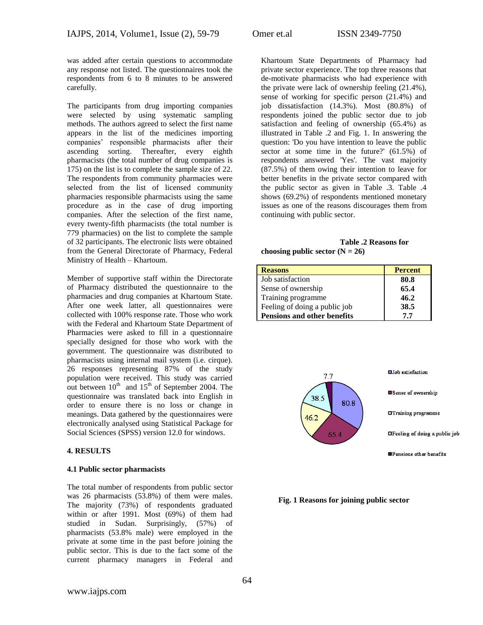was added after certain questions to accommodate any response not listed. The questionnaires took the respondents from 6 to 8 minutes to be answered carefully.

The participants from drug importing companies were selected by using systematic sampling methods. The authors agreed to select the first name appears in the list of the medicines importing companies' responsible pharmacists after their ascending sorting. Thereafter, every eighth pharmacists (the total number of drug companies is 175) on the list is to complete the sample size of 22. The respondents from community pharmacies were selected from the list of licensed community pharmacies responsible pharmacists using the same procedure as in the case of drug importing companies. After the selection of the first name, every twenty-fifth pharmacists (the total number is 779 pharmacies) on the list to complete the sample of 32 participants. The electronic lists were obtained from the General Directorate of Pharmacy, Federal Ministry of Health – Khartoum.

Member of supportive staff within the Directorate of Pharmacy distributed the questionnaire to the pharmacies and drug companies at Khartoum State. After one week latter, all questionnaires were collected with 100% response rate. Those who work with the Federal and Khartoum State Department of Pharmacies were asked to fill in a questionnaire specially designed for those who work with the government. The questionnaire was distributed to pharmacists using internal mail system (i.e. cirque). 26 responses representing 87% of the study population were received. This study was carried out between  $10^{th}$  and  $15^{th}$  of September 2004. The questionnaire was translated back into English in order to ensure there is no loss or change in meanings. Data gathered by the questionnaires were electronically analysed using Statistical Package for Social Sciences (SPSS) version 12.0 for windows.

#### **4. RESULTS**

#### **4.1 Public sector pharmacists**

The total number of respondents from public sector was 26 pharmacists (53.8%) of them were males. The majority (73%) of respondents graduated within or after 1991. Most (69%) of them had studied in Sudan. Surprisingly, (57%) of pharmacists (53.8% male) were employed in the private at some time in the past before joining the public sector. This is due to the fact some of the current pharmacy managers in Federal and

Khartoum State Departments of Pharmacy had private sector experience. The top three reasons that de-motivate pharmacists who had experience with the private were lack of ownership feeling (21.4%), sense of working for specific person (21.4%) and job dissatisfaction (14.3%). Most (80.8%) of respondents joined the public sector due to job satisfaction and feeling of ownership (65.4%) as illustrated in Table .2 and Fig. 1. In answering the question: 'Do you have intention to leave the public sector at some time in the future?' (61.5%) of respondents answered 'Yes'. The vast majority (87.5%) of them owing their intention to leave for better benefits in the private sector compared with the public sector as given in Table .3. Table .4 shows (69.2%) of respondents mentioned monetary issues as one of the reasons discourages them from continuing with public sector.

 **Table .2 Reasons for**  choosing public sector  $(N = 26)$ 

| <b>Reasons</b>                | <b>Percent</b> |
|-------------------------------|----------------|
| Job satisfaction              | 80.8           |
| Sense of ownership            | 65.4           |
| Training programme            | 46.2           |
| Feeling of doing a public job | 38.5           |
| Pensions and other benefits   | 77             |



**Fig. 1 Reasons for joining public sector**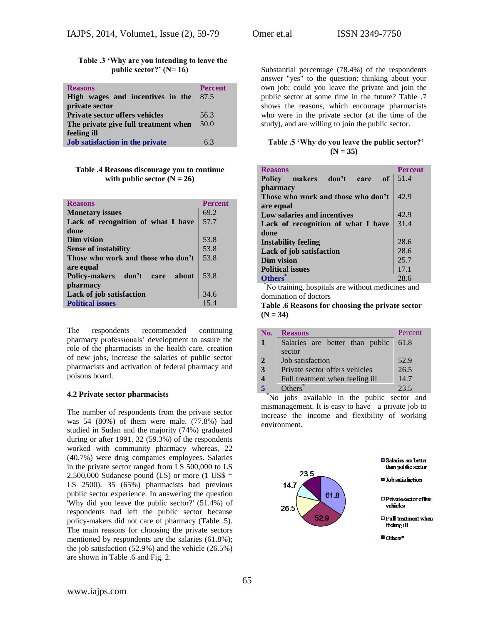**Table .3 'Why are you intending to leave the public sector?' (N= 16)**

| <b>Reasons</b>                        | <b>Percent</b> |
|---------------------------------------|----------------|
| High wages and incentives in the      | 87.5           |
| private sector                        |                |
| <b>Private sector offers vehicles</b> | 56.3           |
| The private give full treatment when  | 50.0           |
| feeling ill                           |                |
| Job satisfaction in the private       | 63             |

**Table .4 Reasons discourage you to continue**  with public sector  $(N = 26)$ 

| <b>Reasons</b>                     | <b>Percent</b> |
|------------------------------------|----------------|
| <b>Monetary issues</b>             | 69.2           |
| Lack of recognition of what I have | 57.7           |
| done                               |                |
| Dim vision                         | 53.8           |
| <b>Sense of instability</b>        | 53.8           |
| Those who work and those who don't | 53.8           |
| are equal                          |                |
| Policy-makers don't<br>care about  | 53.8           |
| pharmacy                           |                |
| Lack of job satisfaction           | 34.6           |
| <b>Political issues</b>            | 15.4           |

The respondents recommended continuing pharmacy professionals' development to assure the role of the pharmacists in the health care, creation of new jobs, increase the salaries of public sector pharmacists and activation of federal pharmacy and poisons board.

#### **4.2 Private sector pharmacists**

The number of respondents from the private sector was 54 (80%) of them were male. (77.8%) had studied in Sudan and the majority (74%) graduated during or after 1991. 32 (59.3%) of the respondents worked with community pharmacy whereas, 22 (40.7%) were drug companies employees. Salaries in the private sector ranged from LS 500,000 to LS  $2,500,000$  Sudanese pound (LS) or more (1 US\$ = LS 2500). 35 (65%) pharmacists had previous public sector experience. In answering the question 'Why did you leave the public sector?' (51.4%) of respondents had left the public sector because policy-makers did not care of pharmacy (Table .5). The main reasons for choosing the private sectors mentioned by respondents are the salaries (61.8%); the job satisfaction (52.9%) and the vehicle (26.5%) are shown in Table .6 and Fig. 2.

Substantial percentage (78.4%) of the respondents answer "yes" to the question: thinking about your own job; could you leave the private and join the public sector at some time in the future? Table .7 shows the reasons, which encourage pharmacists who were in the private sector (at the time of the study), and are willing to join the public sector.

#### **Table .5 'Why do you leave the public sector?' (N = 35)**

| <b>Reasons</b>                                 | <b>Percent</b> |
|------------------------------------------------|----------------|
| of <sub>1</sub><br>Policy makers don't<br>care | 51.4           |
| pharmacy                                       |                |
| Those who work and those who don't             | 42.9           |
| are equal                                      |                |
| Low salaries and incentives                    | 42.9           |
| Lack of recognition of what I have             | 31.4           |
| done                                           |                |
| <b>Instability feeling</b>                     | 28.6           |
| Lack of job satisfaction                       | 28.6           |
| Dim vision                                     | 25.7           |
| <b>Political issues</b>                        | 17.1           |
| <b>Others</b>                                  | 28.6           |

\*No training, hospitals are without medicines and domination of doctors

**Table .6 Reasons for choosing the private sector (N = 34)**

| No.            | <b>Reasons</b>                  | Percent |
|----------------|---------------------------------|---------|
|                | Salaries are better than public | 61.8    |
|                | sector                          |         |
| $\overline{2}$ | Job satisfaction                | 52.9    |
| 3              | Private sector offers vehicles  | 26.5    |
| 4              | Full treatment when feeling ill | 14.7    |
|                | $Others^*$                      | 23.5    |

 \*No jobs available in the public sector and mismanagement. It is easy to have a private job to increase the income and flexibility of working environment.

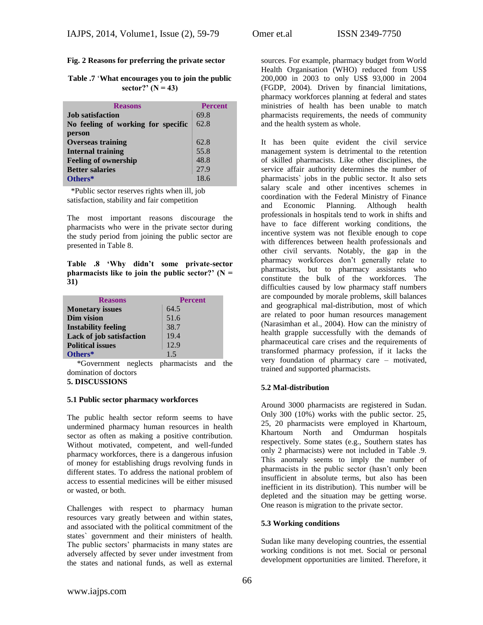# **Fig. 2 Reasons for preferring the private sector**

**Table .7** '**What encourages you to join the public sector?' (N = 43)**

| <b>Reasons</b>                     | <b>Percent</b> |
|------------------------------------|----------------|
| <b>Job</b> satisfaction            | 69.8           |
| No feeling of working for specific | 62.8           |
| person                             |                |
| <b>Overseas training</b>           | 62.8           |
| <b>Internal training</b>           | 55.8           |
| <b>Feeling of ownership</b>        | 48.8           |
| <b>Better salaries</b>             | 27.9           |
| Others*                            | 18.6           |

 \*Public sector reserves rights when ill, job satisfaction, stability and fair competition

The most important reasons discourage the pharmacists who were in the private sector during the study period from joining the public sector are presented in Table 8.

**Table .8 'Why didn't some private-sector pharmacists like to join the public sector?'** ( $N =$ **31)**

| <b>Reasons</b>             | <b>Percent</b> |
|----------------------------|----------------|
| <b>Monetary issues</b>     | 64.5           |
| Dim vision                 | 51.6           |
| <b>Instability feeling</b> | 38.7           |
| Lack of job satisfaction   | 19.4           |
| <b>Political issues</b>    | 12.9           |
| Others*                    | 1.5            |

\*Government neglects pharmacists and the domination of doctors **5. DISCUSSIONS**

#### **5.1 Public sector pharmacy workforces**

The public health sector reform seems to have undermined pharmacy human resources in health sector as often as making a positive contribution. Without motivated, competent, and well-funded pharmacy workforces, there is a dangerous infusion of money for establishing drugs revolving funds in different states. To address the national problem of access to essential medicines will be either misused or wasted, or both.

Challenges with respect to pharmacy human resources vary greatly between and within states, and associated with the political commitment of the states` government and their ministers of health. The public sectors' pharmacists in many states are adversely affected by sever under investment from the states and national funds, as well as external

sources. For example, pharmacy budget from World Health Organisation (WHO) reduced from US\$ 200,000 in 2003 to only US\$ 93,000 in 2004 (FGDP, 2004). Driven by financial limitations, pharmacy workforces planning at federal and states ministries of health has been unable to match pharmacists requirements, the needs of community and the health system as whole.

It has been quite evident the civil service management system is detrimental to the retention of skilled pharmacists. Like other disciplines, the service affair authority determines the number of pharmacists` jobs in the public sector. It also sets salary scale and other incentives schemes in coordination with the Federal Ministry of Finance and Economic Planning. Although health professionals in hospitals tend to work in shifts and have to face different working conditions, the incentive system was not flexible enough to cope with differences between health professionals and other civil servants. Notably, the gap in the pharmacy workforces don't generally relate to pharmacists, but to pharmacy assistants who constitute the bulk of the workforces. The difficulties caused by low pharmacy staff numbers are compounded by morale problems, skill balances and geographical mal-distribution, most of which are related to poor human resources management (Narasimhan et al., 2004). How can the ministry of health grapple successfully with the demands of pharmaceutical care crises and the requirements of transformed pharmacy profession, if it lacks the very foundation of pharmacy care – motivated, trained and supported pharmacists.

# **5.2 Mal-distribution**

Around 3000 pharmacists are registered in Sudan. Only 300 (10%) works with the public sector. 25, 25, 20 pharmacists were employed in Khartoum, Khartoum North and Omdurman hospitals respectively. Some states (e.g., Southern states has only 2 pharmacists) were not included in Table .9. This anomaly seems to imply the number of pharmacists in the public sector (hasn't only been insufficient in absolute terms, but also has been inefficient in its distribution). This number will be depleted and the situation may be getting worse. One reason is migration to the private sector.

# **5.3 Working conditions**

Sudan like many developing countries, the essential working conditions is not met. Social or personal development opportunities are limited. Therefore, it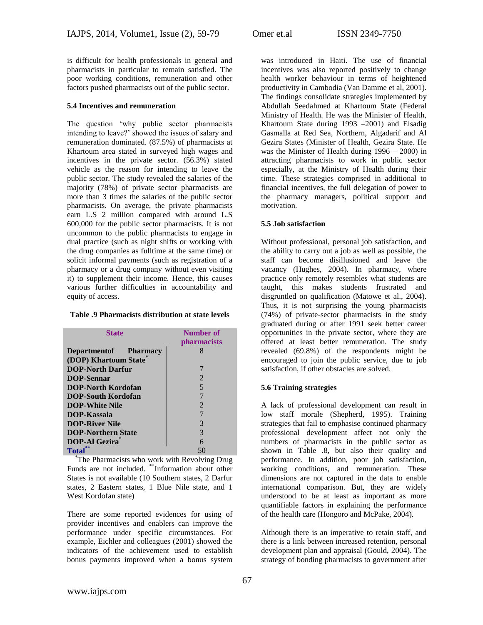is difficult for health professionals in general and pharmacists in particular to remain satisfied. The poor working conditions, remuneration and other factors pushed pharmacists out of the public sector.

#### **5.4 Incentives and remuneration**

The question 'why public sector pharmacists intending to leave?' showed the issues of salary and remuneration dominated. (87.5%) of pharmacists at Khartoum area stated in surveyed high wages and incentives in the private sector. (56.3%) stated vehicle as the reason for intending to leave the public sector. The study revealed the salaries of the majority (78%) of private sector pharmacists are more than 3 times the salaries of the public sector pharmacists. On average, the private pharmacists earn L.S 2 million compared with around L.S 600,000 for the public sector pharmacists. It is not uncommon to the public pharmacists to engage in dual practice (such as night shifts or working with the drug companies as fulltime at the same time) or solicit informal payments (such as registration of a pharmacy or a drug company without even visiting it) to supplement their income. Hence, this causes various further difficulties in accountability and equity of access.

#### **Table .9 Pharmacists distribution at state levels**

| <b>State</b>                  | Number of                   |
|-------------------------------|-----------------------------|
|                               | pharmacists                 |
| <b>Department of Pharmacy</b> | 8                           |
| (DOP) Khartoum State          |                             |
| <b>DOP-North Darfur</b>       | 7                           |
| <b>DOP-Sennar</b>             | 2                           |
| DOP-North Kordofan            | 5                           |
| <b>DOP-South Kordofan</b>     | 7                           |
| <b>DOP-White Nile</b>         | $\mathcal{D}_{\mathcal{L}}$ |
| DOP-Kassala                   | 7                           |
| <b>DOP-River Nile</b>         | 3                           |
| <b>DOP-Northern State</b>     | 3                           |
| <b>DOP-Al Gezira</b>          | 6                           |
| Total                         | 50                          |

\*The Pharmacists who work with Revolving Drug Funds are not included. \*\*Information about other States is not available (10 Southern states, 2 Darfur states, 2 Eastern states, 1 Blue Nile state, and 1 West Kordofan state)

There are some reported evidences for using of provider incentives and enablers can improve the performance under specific circumstances. For example, Eichler and colleagues (2001) showed the indicators of the achievement used to establish bonus payments improved when a bonus system

was introduced in Haiti. The use of financial incentives was also reported positively to change health worker behaviour in terms of heightened productivity in Cambodia (Van Damme et al, 2001). The findings consolidate strategies implemented by Abdullah Seedahmed at Khartoum State (Federal Ministry of Health. He was the Minister of Health, Khartoum State during 1993 –2001) and Elsadig Gasmalla at Red Sea, Northern, Algadarif and Al Gezira States (Minister of Health, Gezira State. He was the Minister of Health during 1996 – 2000) in attracting pharmacists to work in public sector especially, at the Ministry of Health during their time. These strategies comprised in additional to financial incentives, the full delegation of power to the pharmacy managers, political support and motivation.

# **5.5 Job satisfaction**

Without professional, personal job satisfaction, and the ability to carry out a job as well as possible, the staff can become disillusioned and leave the vacancy (Hughes, 2004). In pharmacy, where practice only remotely resembles what students are taught, this makes students frustrated and disgruntled on qualification (Matowe et al., 2004). Thus, it is not surprising the young pharmacists (74%) of private-sector pharmacists in the study graduated during or after 1991 seek better career opportunities in the private sector, where they are offered at least better remuneration. The study revealed (69.8%) of the respondents might be encouraged to join the public service, due to job satisfaction, if other obstacles are solved.

# **5.6 Training strategies**

A lack of professional development can result in low staff morale (Shepherd, 1995). Training strategies that fail to emphasise continued pharmacy professional development affect not only the numbers of pharmacists in the public sector as shown in Table .8, but also their quality and performance. In addition, poor job satisfaction, working conditions, and remuneration. These dimensions are not captured in the data to enable international comparison. But, they are widely understood to be at least as important as more quantifiable factors in explaining the performance of the health care (Hongoro and McPake, 2004).

Although there is an imperative to retain staff, and there is a link between increased retention, personal development plan and appraisal (Gould, 2004). The strategy of bonding pharmacists to government after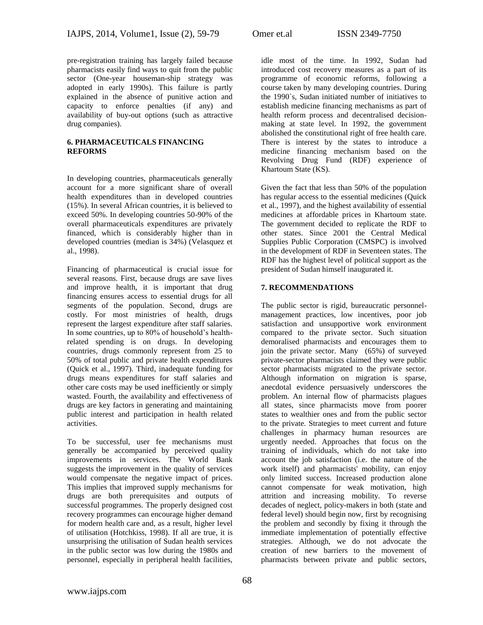pre-registration training has largely failed because pharmacists easily find ways to quit from the public sector (One-year houseman-ship strategy was adopted in early 1990s). This failure is partly explained in the absence of punitive action and capacity to enforce penalties (if any) and availability of buy-out options (such as attractive drug companies).

# **6. PHARMACEUTICALS FINANCING REFORMS**

In developing countries, pharmaceuticals generally account for a more significant share of overall health expenditures than in developed countries (15%). In several African countries, it is believed to exceed 50%. In developing countries 50-90% of the overall pharmaceuticals expenditures are privately financed, which is considerably higher than in developed countries (median is 34%) (Velasquez et al., 1998).

Financing of pharmaceutical is crucial issue for several reasons. First, because drugs are save lives and improve health, it is important that drug financing ensures access to essential drugs for all segments of the population. Second, drugs are costly. For most ministries of health, drugs represent the largest expenditure after staff salaries. In some countries, up to 80% of household's healthrelated spending is on drugs. In developing countries, drugs commonly represent from 25 to 50% of total public and private health expenditures (Quick et al., 1997). Third, inadequate funding for drugs means expenditures for staff salaries and other care costs may be used inefficiently or simply wasted. Fourth, the availability and effectiveness of drugs are key factors in generating and maintaining public interest and participation in health related activities.

To be successful, user fee mechanisms must generally be accompanied by perceived quality improvements in services. The World Bank suggests the improvement in the quality of services would compensate the negative impact of prices. This implies that improved supply mechanisms for drugs are both prerequisites and outputs of successful programmes. The properly designed cost recovery programmes can encourage higher demand for modern health care and, as a result, higher level of utilisation (Hotchkiss, 1998). If all are true, it is unsurprising the utilisation of Sudan health services in the public sector was low during the 1980s and personnel, especially in peripheral health facilities,

idle most of the time. In 1992, Sudan had introduced cost recovery measures as a part of its programme of economic reforms, following a course taken by many developing countries. During the 1990`s, Sudan initiated number of initiatives to establish medicine financing mechanisms as part of health reform process and decentralised decisionmaking at state level. In 1992, the government abolished the constitutional right of free health care. There is interest by the states to introduce a medicine financing mechanism based on the Revolving Drug Fund (RDF) experience of Khartoum State (KS).

Given the fact that less than 50% of the population has regular access to the essential medicines (Quick et al., 1997), and the highest availability of essential medicines at affordable prices in Khartoum state. The government decided to replicate the RDF to other states. Since 2001 the Central Medical Supplies Public Corporation (CMSPC) is involved in the development of RDF in Seventeen states. The RDF has the highest level of political support as the president of Sudan himself inaugurated it.

# **7. RECOMMENDATIONS**

The public sector is rigid, bureaucratic personnelmanagement practices, low incentives, poor job satisfaction and unsupportive work environment compared to the private sector. Such situation demoralised pharmacists and encourages them to join the private sector. Many (65%) of surveyed private-sector pharmacists claimed they were public sector pharmacists migrated to the private sector. Although information on migration is sparse, anecdotal evidence persuasively underscores the problem. An internal flow of pharmacists plagues all states, since pharmacists move from poorer states to wealthier ones and from the public sector to the private. Strategies to meet current and future challenges in pharmacy human resources are urgently needed. Approaches that focus on the training of individuals, which do not take into account the job satisfaction (i.e. the nature of the work itself) and pharmacists' mobility, can enjoy only limited success. Increased production alone cannot compensate for weak motivation, high attrition and increasing mobility. To reverse decades of neglect, policy-makers in both (state and federal level) should begin now, first by recognising the problem and secondly by fixing it through the immediate implementation of potentially effective strategies. Although, we do not advocate the creation of new barriers to the movement of pharmacists between private and public sectors,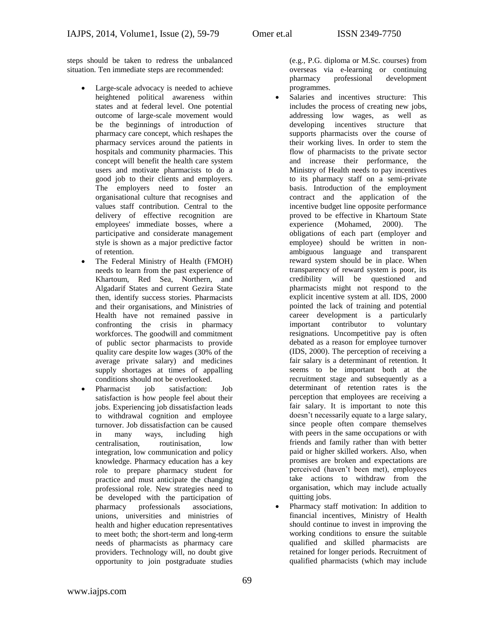steps should be taken to redress the unbalanced situation. Ten immediate steps are recommended:

- Large-scale advocacy is needed to achieve heightened political awareness within states and at federal level. One potential outcome of large-scale movement would be the beginnings of introduction of pharmacy care concept, which reshapes the pharmacy services around the patients in hospitals and community pharmacies. This concept will benefit the health care system users and motivate pharmacists to do a good job to their clients and employers. The employers need to foster an organisational culture that recognises and values staff contribution. Central to the delivery of effective recognition are employees' immediate bosses, where a participative and considerate management style is shown as a major predictive factor of retention.
- The Federal Ministry of Health (FMOH) needs to learn from the past experience of Khartoum, Red Sea, Northern, and Algadarif States and current Gezira State then, identify success stories. Pharmacists and their organisations, and Ministries of Health have not remained passive in confronting the crisis in pharmacy workforces. The goodwill and commitment of public sector pharmacists to provide quality care despite low wages (30% of the average private salary) and medicines supply shortages at times of appalling conditions should not be overlooked.
- Pharmacist job satisfaction: Job satisfaction is how people feel about their jobs. Experiencing job dissatisfaction leads to withdrawal cognition and employee turnover. Job dissatisfaction can be caused in many ways, including high centralisation, routinisation, low integration, low communication and policy knowledge. Pharmacy education has a key role to prepare pharmacy student for practice and must anticipate the changing professional role. New strategies need to be developed with the participation of pharmacy professionals associations, unions, universities and ministries of health and higher education representatives to meet both; the short-term and long-term needs of pharmacists as pharmacy care providers. Technology will, no doubt give opportunity to join postgraduate studies

(e.g., P.G. diploma or M.Sc. courses) from overseas via e-learning or continuing pharmacy professional development programmes.

- Salaries and incentives structure: This includes the process of creating new jobs, addressing low wages, as well as developing incentives structure that supports pharmacists over the course of their working lives. In order to stem the flow of pharmacists to the private sector and increase their performance, the Ministry of Health needs to pay incentives to its pharmacy staff on a semi-private basis. Introduction of the employment contract and the application of the incentive budget line opposite performance proved to be effective in Khartoum State experience (Mohamed, 2000). The obligations of each part (employer and employee) should be written in nonambiguous language and transparent reward system should be in place. When transparency of reward system is poor, its credibility will be questioned and pharmacists might not respond to the explicit incentive system at all. IDS, 2000 pointed the lack of training and potential career development is a particularly important contributor to voluntary resignations. Uncompetitive pay is often debated as a reason for employee turnover (IDS, 2000). The perception of receiving a fair salary is a determinant of retention. It seems to be important both at the recruitment stage and subsequently as a determinant of retention rates is the perception that employees are receiving a fair salary. It is important to note this doesn't necessarily equate to a large salary, since people often compare themselves with peers in the same occupations or with friends and family rather than with better paid or higher skilled workers. Also, when promises are broken and expectations are perceived (haven't been met), employees take actions to withdraw from the organisation, which may include actually quitting jobs.
- Pharmacy staff motivation: In addition to financial incentives, Ministry of Health should continue to invest in improving the working conditions to ensure the suitable qualified and skilled pharmacists are retained for longer periods. Recruitment of qualified pharmacists (which may include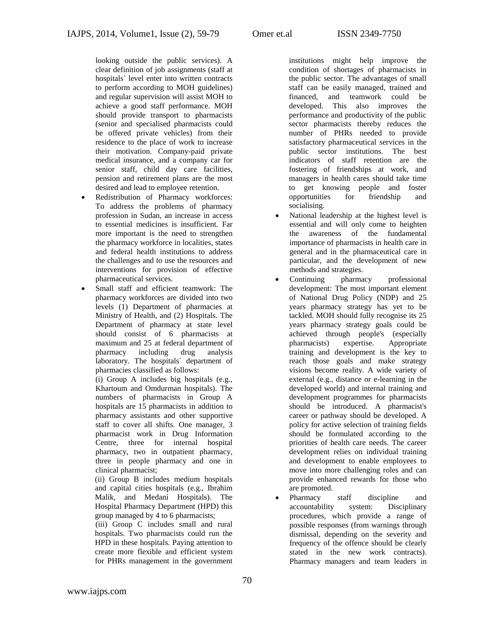looking outside the public services). A clear definition of job assignments (staff at hospitals` level enter into written contracts to perform according to MOH guidelines) and regular supervision will assist MOH to achieve a good staff performance. MOH should provide transport to pharmacists (senior and specialised pharmacists could be offered private vehicles) from their residence to the place of work to increase their motivation. Company-paid private medical insurance, and a company car for senior staff, child day care facilities, pension and retirement plans are the most desired and lead to employee retention.

- Redistribution of Pharmacy workforces: To address the problems of pharmacy profession in Sudan, an increase in access to essential medicines is insufficient. Far more important is the need to strengthen the pharmacy workforce in localities, states and federal health institutions to address the challenges and to use the resources and interventions for provision of effective pharmaceutical services.
- Small staff and efficient teamwork: The pharmacy workforces are divided into two levels (1) Department of pharmacies at Ministry of Health, and (2) Hospitals. The Department of pharmacy at state level should consist of 6 pharmacists at maximum and 25 at federal department of pharmacy including drug analysis laboratory. The hospitals` department of pharmacies classified as follows:

(i) Group A includes big hospitals (e.g., Khartoum and Omdurman hospitals). The numbers of pharmacists in Group A hospitals are 15 pharmacists in addition to pharmacy assistants and other supportive staff to cover all shifts. One manager, 3 pharmacist work in Drug Information Centre, three for internal hospital pharmacy, two in outpatient pharmacy, three in people pharmacy and one in clinical pharmacist;

(ii) Group B includes medium hospitals and capital cities hospitals (e.g., Ibrahim Malik, and Medani Hospitals). The Hospital Pharmacy Department (HPD) this group managed by 4 to 6 pharmacists;

(iii) Group C includes small and rural hospitals. Two pharmacists could run the HPD in these hospitals. Paying attention to create more flexible and efficient system for PHRs management in the government

institutions might help improve the condition of shortages of pharmacists in the public sector. The advantages of small staff can be easily managed, trained and financed, and teamwork could be developed. This also improves the performance and productivity of the public sector pharmacists thereby reduces the number of PHRs needed to provide satisfactory pharmaceutical services in the public sector institutions. The best indicators of staff retention are the fostering of friendships at work, and managers in health cares should take time to get knowing people and foster opportunities for friendship and socialising.

- National leadership at the highest level is essential and will only come to heighten the awareness of the fundamental importance of pharmacists in health care in general and in the pharmaceutical care in particular, and the development of new methods and strategies.
- Continuing pharmacy professional development: The most important element of National Drug Policy (NDP) and 25 years pharmacy strategy has yet to be tackled. MOH should fully recognise its 25 years pharmacy strategy goals could be achieved through people's (especially pharmacists) expertise. Appropriate training and development is the key to reach those goals and make strategy visions become reality. A wide variety of external (e.g., distance or e-learning in the developed world) and internal training and development programmes for pharmacists should be introduced. A pharmacist's career or pathway should be developed. A policy for active selection of training fields should be formulated according to the priorities of health care needs. The career development relies on individual training and development to enable employees to move into more challenging roles and can provide enhanced rewards for those who are promoted.
- Pharmacy staff discipline and accountability system: Disciplinary procedures, which provide a range of possible responses (from warnings through dismissal, depending on the severity and frequency of the offence should be clearly stated in the new work contracts). Pharmacy managers and team leaders in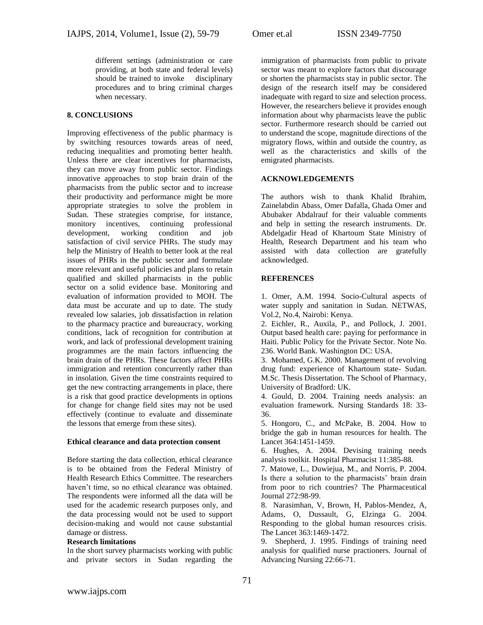different settings (administration or care providing, at both state and federal levels) should be trained to invoke disciplinary procedures and to bring criminal charges when necessary.

# **8. CONCLUSIONS**

Improving effectiveness of the public pharmacy is by switching resources towards areas of need, reducing inequalities and promoting better health. Unless there are clear incentives for pharmacists, they can move away from public sector. Findings innovative approaches to stop brain drain of the pharmacists from the public sector and to increase their productivity and performance might be more appropriate strategies to solve the problem in Sudan. These strategies comprise, for instance, monitory incentives, continuing professional development, working condition and job satisfaction of civil service PHRs. The study may help the Ministry of Health to better look at the real issues of PHRs in the public sector and formulate more relevant and useful policies and plans to retain qualified and skilled pharmacists in the public sector on a solid evidence base. Monitoring and evaluation of information provided to MOH. The data must be accurate and up to date. The study revealed low salaries, job dissatisfaction in relation to the pharmacy practice and bureaucracy, working conditions, lack of recognition for contribution at work, and lack of professional development training programmes are the main factors influencing the brain drain of the PHRs. These factors affect PHRs immigration and retention concurrently rather than in insolation. Given the time constraints required to get the new contracting arrangements in place, there is a risk that good practice developments in options for change for change field sites may not be used effectively (continue to evaluate and disseminate the lessons that emerge from these sites).

# **Ethical clearance and data protection consent**

Before starting the data collection, ethical clearance is to be obtained from the Federal Ministry of Health Research Ethics Committee. The researchers haven't time, so no ethical clearance was obtained. The respondents were informed all the data will be used for the academic research purposes only, and the data processing would not be used to support decision-making and would not cause substantial damage or distress.

# **Research limitations**

In the short survey pharmacists working with public and private sectors in Sudan regarding the

immigration of pharmacists from public to private sector was meant to explore factors that discourage or shorten the pharmacists stay in public sector. The design of the research itself may be considered inadequate with regard to size and selection process. However, the researchers believe it provides enough information about why pharmacists leave the public sector. Furthermore research should be carried out to understand the scope, magnitude directions of the migratory flows, within and outside the country, as well as the characteristics and skills of the emigrated pharmacists.

# **ACKNOWLEDGEMENTS**

The authors wish to thank Khalid Ibrahim, Zainelabdin Abass, Omer Dafalla, Ghada Omer and Abubaker Abdalrauf for their valuable comments and help in setting the research instruments. Dr. Abdelgadir Head of Khartoum State Ministry of Health, Research Department and his team who assisted with data collection are gratefully acknowledged.

# **REFERENCES**

1. Omer, A.M. 1994. Socio-Cultural aspects of water supply and sanitation in Sudan. NETWAS, Vol.2, No.4, Nairobi: Kenya.

2. Eichler, R., Auxila, P., and Pollock, J. 2001. Output based health care: paying for performance in Haiti. Public Policy for the Private Sector. Note No. 236. World Bank. Washington DC: USA.

3. Mohamed, G.K. 2000. Management of revolving drug fund: experience of Khartoum state- Sudan. M.Sc. Thesis Dissertation. The School of Pharmacy, University of Bradford: UK.

4. Gould, D. 2004. Training needs analysis: an evaluation framework. Nursing Standards 18: 33- 36.

5. Hongoro, C., and McPake, B. 2004. How to bridge the gab in human resources for health. The Lancet 364:1451-1459.

6. Hughes, A. 2004. Devising training needs analysis toolkit. Hospital Pharmacist 11:385-88.

7. Matowe, L., Duwiejua, M., and Norris, P. 2004. Is there a solution to the pharmacists' brain drain from poor to rich countries? The Pharmaceutical Journal 272:98-99.

8. Narasimhan, V, Brown, H, Pablos-Mendez, A, Adams, O, Dussault, G, Elzinga G. 2004. Responding to the global human resources crisis. The Lancet 363:1469-1472.

9. Shepherd, J. 1995. Findings of training need analysis for qualified nurse practioners. Journal of Advancing Nursing 22:66-71.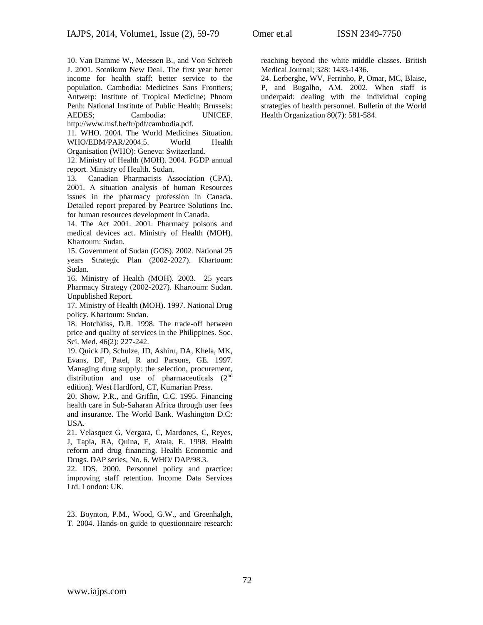10. Van Damme W., Meessen B., and Von Schreeb J. 2001. Sotnikum New Deal. The first year better income for health staff: better service to the population. Cambodia: Medicines Sans Frontiers; Antwerp: Institute of Tropical Medicine; Phnom Penh: National Institute of Public Health; Brussels: AEDES; Cambodia: UNICEF. http://www.msf.be/fr/pdf/cambodia.pdf.

11. WHO. 2004. The World Medicines Situation. WHO/EDM/PAR/2004.5. World Health Organisation (WHO): Geneva: Switzerland.

12. Ministry of Health (MOH). 2004. FGDP annual report. Ministry of Health. Sudan.

13. Canadian Pharmacists Association (CPA). 2001. A situation analysis of human Resources issues in the pharmacy profession in Canada. Detailed report prepared by Peartree Solutions Inc. for human resources development in Canada.

14. The Act 2001. 2001. Pharmacy poisons and medical devices act. Ministry of Health (MOH). Khartoum: Sudan.

15. Government of Sudan (GOS). 2002. National 25 years Strategic Plan (2002-2027). Khartoum: Sudan.

16. Ministry of Health (MOH). 2003. 25 years Pharmacy Strategy (2002-2027). Khartoum: Sudan. Unpublished Report.

17. Ministry of Health (MOH). 1997. National Drug policy. Khartoum: Sudan.

18. Hotchkiss, D.R. 1998. The trade-off between price and quality of services in the Philippines. Soc. Sci. Med. 46(2): 227-242.

19. Quick JD, Schulze, JD, Ashiru, DA, Khela, MK, Evans, DF, Patel, R and Parsons, GE. 1997. Managing drug supply: the selection, procurement, distribution and use of pharmaceuticals  $(2<sup>nd</sup>$ edition). West Hardford, CT, Kumarian Press.

20. Show, P.R., and Griffin, C.C. 1995. Financing health care in Sub-Saharan Africa through user fees and insurance. The World Bank. Washington D.C: USA.

21. Velasquez G, Vergara, C, Mardones, C, Reyes, J, Tapia, RA, Quina, F, Atala, E. 1998. Health reform and drug financing. Health Economic and Drugs. DAP series, No. 6. WHO/ DAP/98.3.

22. IDS. 2000. Personnel policy and practice: improving staff retention. Income Data Services Ltd. London: UK.

23. Boynton, P.M., Wood, G.W., and Greenhalgh, T. 2004. Hands-on guide to questionnaire research: reaching beyond the white middle classes. British Medical Journal; 328: 1433-1436.

24. Lerberghe, WV, Ferrinho, P, Omar, MC, Blaise, P, and Bugalho, AM. 2002. When staff is underpaid: dealing with the individual coping strategies of health personnel. Bulletin of the World Health Organization 80(7): 581-584.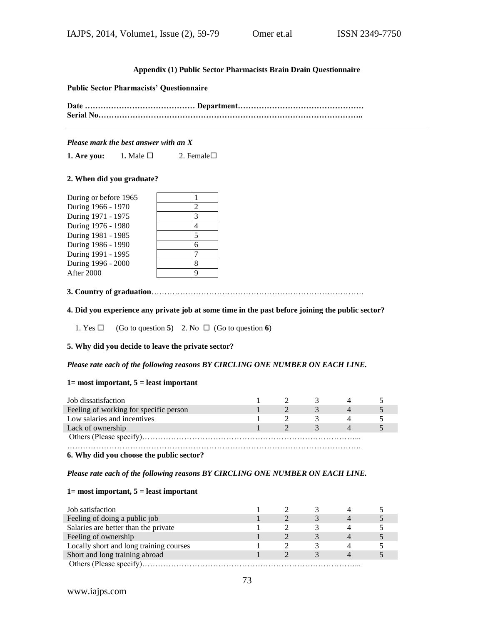# **Appendix (1) Public Sector Pharmacists Brain Drain Questionnaire**

#### **Public Sector Pharmacists' Questionnaire**

**Date …………………………………… Department………………………………………… Serial No………………………………………………………………………………………..**

#### *Please mark the best answer with an X*

**1. Are you: 1.** Male  $\Box$  **2.** Female  $\Box$ 

#### **2. When did you graduate?**

| During or before 1965 |                             |
|-----------------------|-----------------------------|
| During 1966 - 1970    | $\mathcal{D}_{\mathcal{A}}$ |
| During 1971 - 1975    | 3                           |
| During 1976 - 1980    |                             |
| During 1981 - 1985    | 5                           |
| During 1986 - 1990    | 6                           |
| During 1991 - 1995    |                             |
| During 1996 - 2000    | 8                           |
| After 2000            | c                           |

**3. Country of graduation**………………………………………………………………………

#### **4. Did you experience any private job at some time in the past before joining the public sector?**

1. Yes  $\Box$  (Go to question 5) 2. No  $\Box$  (Go to question 6)

#### **5. Why did you decide to leave the private sector?**

#### *Please rate each of the following reasons BY CIRCLING ONE NUMBER ON EACH LINE.*

# **1= most important, 5 = least important**

| Job dissatisfaction                    |  |  |  |  |  |
|----------------------------------------|--|--|--|--|--|
| Feeling of working for specific person |  |  |  |  |  |
| Low salaries and incentives            |  |  |  |  |  |
| Lack of ownership                      |  |  |  |  |  |
|                                        |  |  |  |  |  |
|                                        |  |  |  |  |  |

#### **6. Why did you choose the public sector?**

#### *Please rate each of the following reasons BY CIRCLING ONE NUMBER ON EACH LINE.*

#### **1= most important, 5 = least important**

| Job satisfaction                        |  |  |  |
|-----------------------------------------|--|--|--|
| Feeling of doing a public job           |  |  |  |
| Salaries are better than the private    |  |  |  |
| Feeling of ownership                    |  |  |  |
| Locally short and long training courses |  |  |  |
| Short and long training abroad          |  |  |  |
|                                         |  |  |  |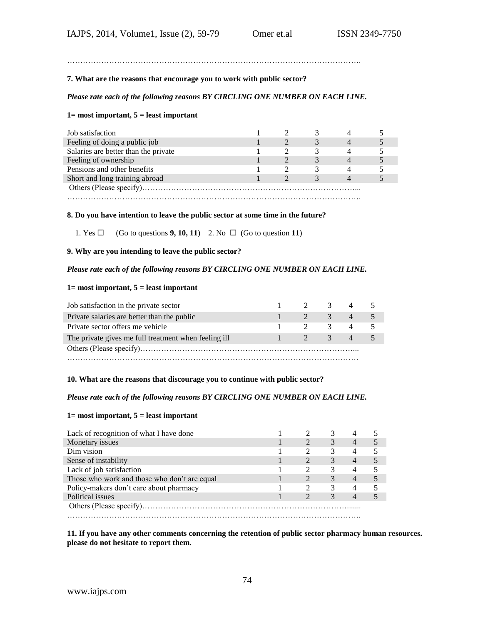………………………………………………………………………………………………….

### **7. What are the reasons that encourage you to work with public sector?**

# *Please rate each of the following reasons BY CIRCLING ONE NUMBER ON EACH LINE.*

# **1= most important, 5 = least important**

| Job satisfaction                     |  |  |  |
|--------------------------------------|--|--|--|
| Feeling of doing a public job        |  |  |  |
| Salaries are better than the private |  |  |  |
| Feeling of ownership                 |  |  |  |
| Pensions and other benefits          |  |  |  |
| Short and long training abroad       |  |  |  |
|                                      |  |  |  |
|                                      |  |  |  |

#### **8. Do you have intention to leave the public sector at some time in the future?**

1. Yes  $\Box$  (Go to questions **9, 10, 11**) 2. No  $\Box$  (Go to question **11**)

#### **9. Why are you intending to leave the public sector?**

### *Please rate each of the following reasons BY CIRCLING ONE NUMBER ON EACH LINE.*

#### **1= most important, 5 = least important**

| Job satisfaction in the private sector               | $1 \t2 \t3 \t4 \t5$      |         |             |  |
|------------------------------------------------------|--------------------------|---------|-------------|--|
| Private salaries are better than the public          | $\mathbf{1}$             | 2 3 4 5 |             |  |
| Private sector offers me vehicle                     | $\mathbf{1}$             | 2 3     | $4 \quad 5$ |  |
| The private gives me full treatment when feeling ill | $-1$ . The set of $\sim$ | 2 3 4 5 |             |  |
|                                                      |                          |         |             |  |
|                                                      |                          |         |             |  |

#### **10. What are the reasons that discourage you to continue with public sector?**

# *Please rate each of the following reasons BY CIRCLING ONE NUMBER ON EACH LINE.*

### **1= most important, 5 = least important**

| Lack of recognition of what I have done      |  |   |                |  |
|----------------------------------------------|--|---|----------------|--|
| Monetary issues                              |  | 3 | $\overline{4}$ |  |
| Dim vision                                   |  | 3 | 4              |  |
| Sense of instability                         |  | 3 | $\overline{4}$ |  |
| Lack of job satisfaction                     |  | 3 | 4              |  |
| Those who work and those who don't are equal |  | 3 | $\overline{4}$ |  |
| Policy-makers don't care about pharmacy      |  | 3 | 4              |  |
| Political issues                             |  | 3 | $\overline{4}$ |  |
|                                              |  |   |                |  |
|                                              |  |   |                |  |

**11. If you have any other comments concerning the retention of public sector pharmacy human resources. please do not hesitate to report them.**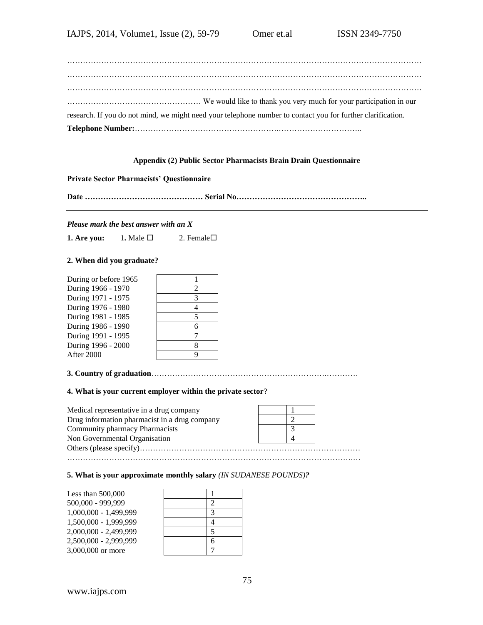| research. If you do not mind, we might need your telephone number to contact you for further clarification. |  |
|-------------------------------------------------------------------------------------------------------------|--|
|                                                                                                             |  |

# **Appendix (2) Public Sector Pharmacists Brain Drain Questionnaire**

# **Private Sector Pharmacists' Questionnaire**

**Date ……………………………………… Serial No…………………………………………..**

#### *Please mark the best answer with an X*

**1. Are you: 1.** Male  $\Box$  **2.** Female  $\Box$ 

## **2. When did you graduate?**

During or before 1965 During 1966 - 1970 2 During 1971 - 1975 During 1976 - 1980 4 During 1981 - 1985 During 1986 - 1990 6 During 1991 - 1995 During 1996 - 2000 8 **After 2000** 

|  | $\frac{2}{3}$  |
|--|----------------|
|  | $\frac{4}{5}$  |
|  |                |
|  |                |
|  | $\overline{7}$ |
|  | $\frac{8}{9}$  |
|  |                |

**3. Country of graduation**………………………………………………………….…………

#### **4. What is your current employer within the private sector**?

| Medical representative in a drug company      |  |  |
|-----------------------------------------------|--|--|
| Drug information pharmacist in a drug company |  |  |
| Community pharmacy Pharmacists                |  |  |
| Non Governmental Organisation                 |  |  |
|                                               |  |  |
|                                               |  |  |

# **5. What is your approximate monthly salary** *(IN SUDANESE POUNDS)?*

| $\mathfrak{D}$           |
|--------------------------|
| 3                        |
|                          |
| $\overline{\phantom{1}}$ |
| 6                        |
|                          |
|                          |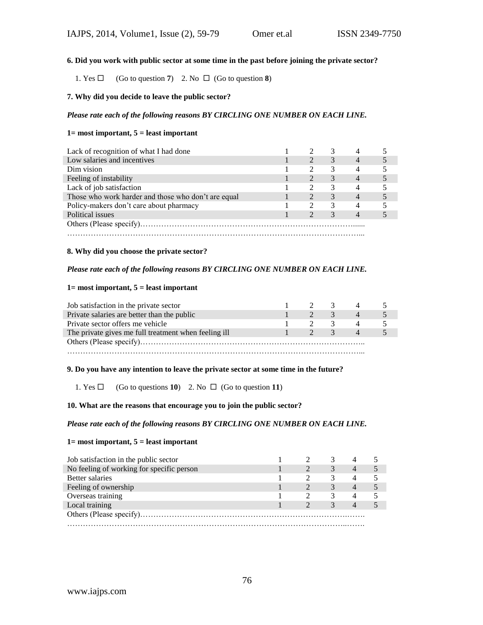# **6. Did you work with public sector at some time in the past before joining the private sector?**

1. Yes  $\Box$  (Go to question **7**) 2. No  $\Box$  (Go to question **8**)

# **7. Why did you decide to leave the public sector?**

# *Please rate each of the following reasons BY CIRCLING ONE NUMBER ON EACH LINE.*

#### **1= most important, 5 = least important**

| Lack of recognition of what I had done              |                             |   |                |  |
|-----------------------------------------------------|-----------------------------|---|----------------|--|
| Low salaries and incentives                         |                             | 3 | $\overline{4}$ |  |
| Dim vision                                          | $\mathcal{D}_{\mathcal{A}}$ | 3 | 4              |  |
| Feeling of instability                              |                             | 3 | $\overline{4}$ |  |
| Lack of job satisfaction                            |                             | 3 | 4              |  |
| Those who work harder and those who don't are equal | $\mathcal{D}_{\mathcal{L}}$ | 3 | $\overline{4}$ |  |
| Policy-makers don't care about pharmacy             | $\mathcal{D}_{\mathcal{L}}$ | 3 | $\overline{4}$ |  |
| Political issues                                    |                             | 3 | $\overline{4}$ |  |
|                                                     |                             |   |                |  |
|                                                     |                             |   |                |  |

#### **8. Why did you choose the private sector?**

# *Please rate each of the following reasons BY CIRCLING ONE NUMBER ON EACH LINE.*

#### **1= most important, 5 = least important**

| Job satisfaction in the private sector               |              | 2 3             |               |  |
|------------------------------------------------------|--------------|-----------------|---------------|--|
| Private salaries are better than the public          |              | $2^{\circ}$     | $\mathcal{R}$ |  |
| Private sector offers me vehicle                     |              | $2 \frac{3}{2}$ |               |  |
| The private gives me full treatment when feeling ill | $\mathbf{1}$ | $2^3$           |               |  |
|                                                      |              |                 |               |  |
|                                                      |              |                 |               |  |

#### **9. Do you have any intention to leave the private sector at some time in the future?**

1. Yes  $\Box$  (Go to questions **10**) 2. No  $\Box$  (Go to question **11**)

### **10. What are the reasons that encourage you to join the public sector?**

#### *Please rate each of the following reasons BY CIRCLING ONE NUMBER ON EACH LINE.*

#### **1= most important, 5 = least important**

| Job satisfaction in the public sector     |  |   |                |  |
|-------------------------------------------|--|---|----------------|--|
| No feeling of working for specific person |  | 3 | $\overline{4}$ |  |
| <b>Better salaries</b>                    |  | 3 | 4              |  |
| Feeling of ownership                      |  |   | $\overline{4}$ |  |
| Overseas training                         |  | 3 | 4              |  |
| Local training                            |  | 3 | $\overline{4}$ |  |
|                                           |  |   |                |  |
|                                           |  |   |                |  |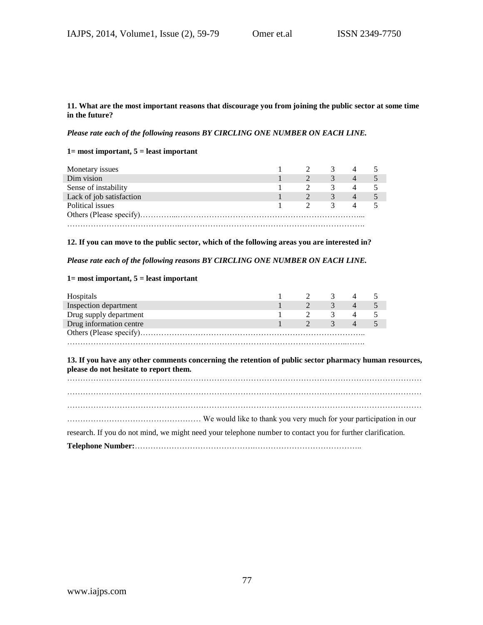## **11. What are the most important reasons that discourage you from joining the public sector at some time in the future?**

*Please rate each of the following reasons BY CIRCLING ONE NUMBER ON EACH LINE.*

# **1= most important, 5 = least important**

| Monetary issues          |  |               |  |
|--------------------------|--|---------------|--|
| Dim vision               |  | 3             |  |
| Sense of instability     |  | ≺             |  |
| Lack of job satisfaction |  | $\rightarrow$ |  |
| Political issues         |  | К             |  |
|                          |  |               |  |
|                          |  |               |  |

### **12. If you can move to the public sector, which of the following areas you are interested in?**

*Please rate each of the following reasons BY CIRCLING ONE NUMBER ON EACH LINE.*

# **1= most important, 5 = least important**

| Hospitals               |  |               |                |  |
|-------------------------|--|---------------|----------------|--|
| Inspection department   |  |               |                |  |
| Drug supply department  |  | $\rightarrow$ |                |  |
| Drug information centre |  | $\rightarrow$ | $\overline{4}$ |  |
|                         |  |               |                |  |
|                         |  |               |                |  |

### **13. If you have any other comments concerning the retention of public sector pharmacy human resources, please do not hesitate to report them.**

| research. If you do not mind, we might need your telephone number to contact you for further clarification. |
|-------------------------------------------------------------------------------------------------------------|
|                                                                                                             |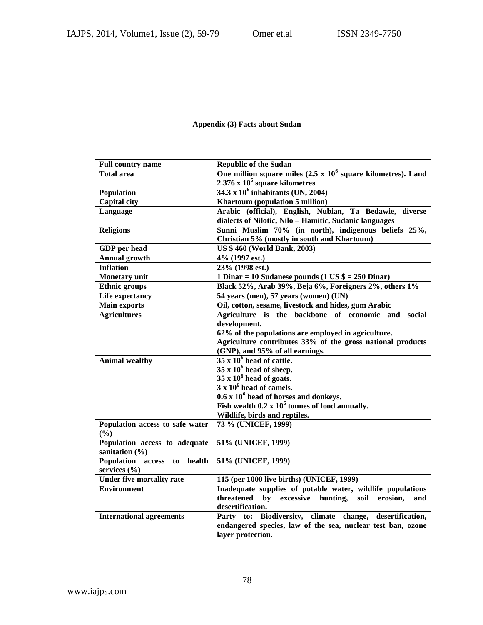# **Appendix (3) Facts about Sudan**

| <b>Full country name</b>         | <b>Republic of the Sudan</b>                                         |  |  |
|----------------------------------|----------------------------------------------------------------------|--|--|
| <b>Total area</b>                | One million square miles $(2.5 \times 10^6$ square kilometres). Land |  |  |
|                                  | $2.376 \times 10^6$ square kilometres                                |  |  |
| Population                       | $34.3 \times 10^6$ inhabitants (UN, 2004)                            |  |  |
| <b>Capital city</b>              | Khartoum (population 5 million)                                      |  |  |
| Language                         | Arabic (official), English, Nubian, Ta Bedawie, diverse              |  |  |
|                                  | dialects of Nilotic, Nilo - Hamitic, Sudanic languages               |  |  |
| <b>Religions</b>                 | Sunni Muslim 70% (in north), indigenous beliefs 25%,                 |  |  |
|                                  | Christian 5% (mostly in south and Khartoum)                          |  |  |
| <b>GDP</b> per head              | <b>US \$460 (World Bank, 2003)</b>                                   |  |  |
| <b>Annual growth</b>             | 4% (1997 est.)                                                       |  |  |
| <b>Inflation</b>                 | 23% (1998 est.)                                                      |  |  |
| <b>Monetary</b> unit             | 1 Dinar = 10 Sudanese pounds (1 US $\$ = 250 Dinar)                  |  |  |
| <b>Ethnic groups</b>             | Black 52%, Arab 39%, Beja 6%, Foreigners 2%, others 1%               |  |  |
| Life expectancy                  | 54 years (men), 57 years (women) (UN)                                |  |  |
| <b>Main exports</b>              | Oil, cotton, sesame, livestock and hides, gum Arabic                 |  |  |
| <b>Agricultures</b>              | Agriculture is the backbone of economic and<br>social                |  |  |
|                                  | development.                                                         |  |  |
|                                  | 62% of the populations are employed in agriculture.                  |  |  |
|                                  | Agriculture contributes 33% of the gross national products           |  |  |
|                                  | (GNP), and 95% of all earnings.                                      |  |  |
| <b>Animal wealthy</b>            | $35 \times 10^6$ head of cattle.                                     |  |  |
|                                  | $35 \times 10^6$ head of sheep.                                      |  |  |
|                                  | $35 \times 10^6$ head of goats.                                      |  |  |
|                                  | $3 \times 10^6$ head of camels.                                      |  |  |
|                                  | $0.6 \times 10^6$ head of horses and donkeys.                        |  |  |
|                                  | Fish wealth $0.2 \times 10^6$ tonnes of food annually.               |  |  |
|                                  | Wildlife, birds and reptiles.                                        |  |  |
| Population access to safe water  | 73 % (UNICEF, 1999)                                                  |  |  |
| (%)                              |                                                                      |  |  |
| Population access to adequate    | 51% (UNICEF, 1999)                                                   |  |  |
| sanitation $(\% )$               |                                                                      |  |  |
| Population access to<br>health   | 51% (UNICEF, 1999)                                                   |  |  |
| services $(\% )$                 |                                                                      |  |  |
| <b>Under five mortality rate</b> | 115 (per 1000 live births) (UNICEF, 1999)                            |  |  |
| <b>Environment</b>               | Inadequate supplies of potable water, wildlife populations           |  |  |
|                                  | threatened by excessive hunting,<br>soil<br>erosion,<br>and          |  |  |
|                                  | desertification.                                                     |  |  |
| <b>International agreements</b>  | Party to: Biodiversity, climate change,<br>desertification,          |  |  |
|                                  | endangered species, law of the sea, nuclear test ban, ozone          |  |  |
|                                  | layer protection.                                                    |  |  |